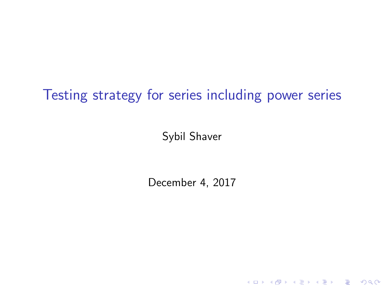## Testing strategy for series including power series

Sybil Shaver

December 4, 2017

K ロ X K (P) X (E) X (E) X (E) X (P) Q (P)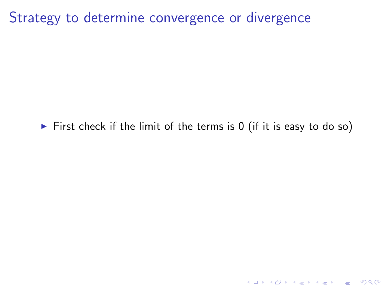First check if the limit of the terms is  $0$  (if it is easy to do so)

KO KKOK KEK KEK LE I DAG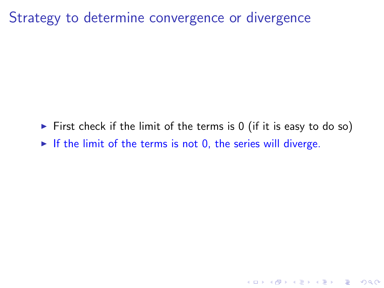First check if the limit of the terms is  $0$  (if it is easy to do so)

**K ロ ▶ K @ ▶ K 할 X X 할 X 및 할 X X Q Q O** 

If the limit of the terms is not 0, the series will diverge.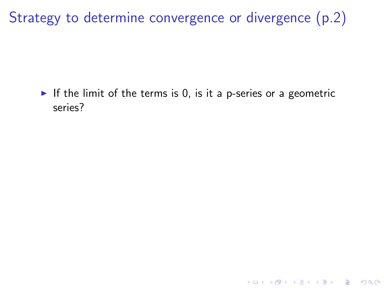If the limit of the terms is 0, is it a p-series or a geometric series?

K ロ ▶ K @ ▶ K 할 > K 할 > 1 할 > 1 이익어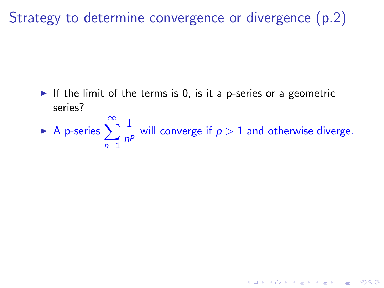If the limit of the terms is 0, is it a p-series or a geometric series?

A p-series  $\sum_{n=1}^{\infty}$  $n=1$ 1  $\frac{1}{n^p}$  will converge if  $p > 1$  and otherwise diverge.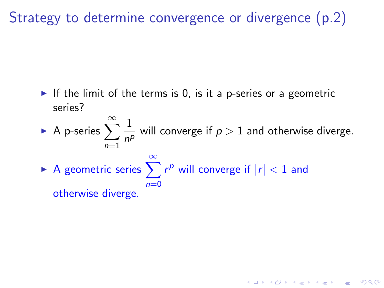If the limit of the terms is 0, is it a p-series or a geometric series?

A p-series  $\sum_{n=1}^{\infty}$  $n=1$ 1  $\frac{1}{n^p}$  will converge if  $p > 1$  and otherwise diverge. ► A geometric series  $\sum_{r=1}^{\infty} r^p$  will converge if  $|r| < 1$  and  $n=0$ otherwise diverge.

KID KA KERKER KID KO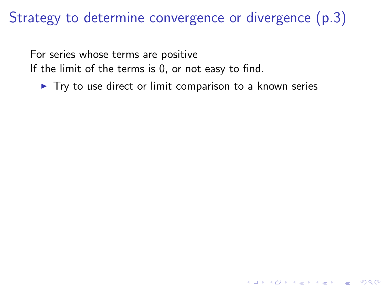For series whose terms are positive If the limit of the terms is 0, or not easy to find.

 $\blacktriangleright$  Try to use direct or limit comparison to a known series

**KORK STRATER STRAKER**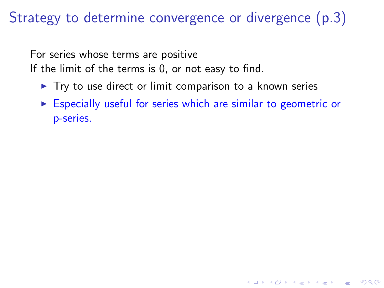For series whose terms are positive If the limit of the terms is 0, or not easy to find.

- $\triangleright$  Try to use direct or limit comparison to a known series
- $\triangleright$  Especially useful for series which are similar to geometric or p-series.

**KORK STRATER STRAKER**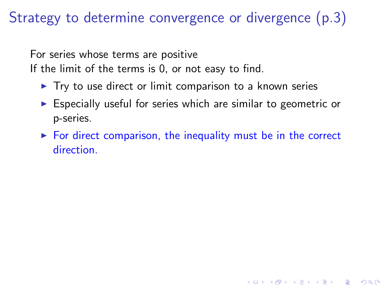For series whose terms are positive If the limit of the terms is 0, or not easy to find.

- $\blacktriangleright$  Try to use direct or limit comparison to a known series
- $\triangleright$  Especially useful for series which are similar to geometric or p-series.
- $\triangleright$  For direct comparison, the inequality must be in the correct direction.

**KORKA SERKER ORA**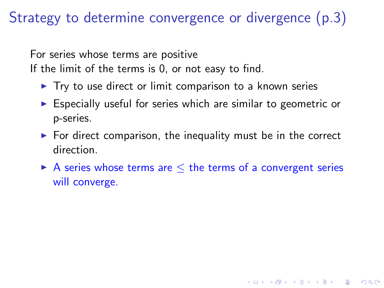For series whose terms are positive If the limit of the terms is 0, or not easy to find.

- $\triangleright$  Try to use direct or limit comparison to a known series
- $\triangleright$  Especially useful for series which are similar to geometric or p-series.
- $\triangleright$  For direct comparison, the inequality must be in the correct direction.
- A series whose terms are  $\leq$  the terms of a convergent series will converge.

**KORKA SERKER ORA**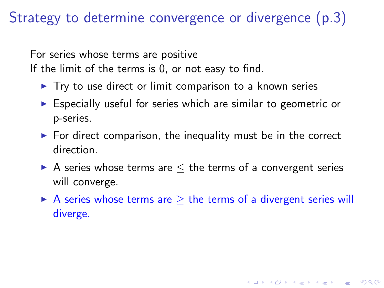For series whose terms are positive If the limit of the terms is 0, or not easy to find.

- $\triangleright$  Try to use direct or limit comparison to a known series
- $\triangleright$  Especially useful for series which are similar to geometric or p-series.
- $\triangleright$  For direct comparison, the inequality must be in the correct direction.
- A series whose terms are  $\leq$  the terms of a convergent series will converge.
- A series whose terms are  $\geq$  the terms of a divergent series will diverge.

**K ロ ▶ K @ ▶ K 할 X X 할 X 및 할 X X Q Q O**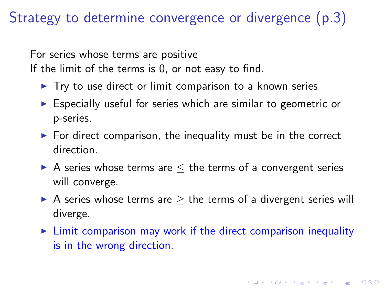For series whose terms are positive If the limit of the terms is 0, or not easy to find.

- $\triangleright$  Try to use direct or limit comparison to a known series
- $\triangleright$  Especially useful for series which are similar to geometric or p-series.
- $\triangleright$  For direct comparison, the inequality must be in the correct direction.
- A series whose terms are  $\leq$  the terms of a convergent series will converge.
- A series whose terms are  $\geq$  the terms of a divergent series will diverge.
- $\triangleright$  Limit comparison may work if the direct comparison inequality is in the wrong direction.

**K ロ ▶ K @ ▶ K 할 X X 할 X 및 할 X X Q Q O**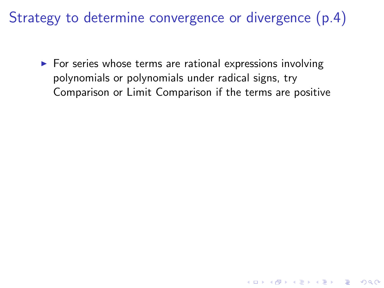$\triangleright$  For series whose terms are rational expressions involving polynomials or polynomials under radical signs, try Comparison or Limit Comparison if the terms are positive

**K ロ ▶ K @ ▶ K 할 X X 할 X 및 할 X X Q Q O**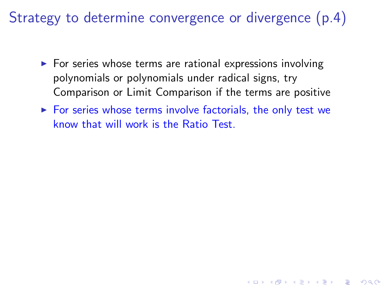- $\triangleright$  For series whose terms are rational expressions involving polynomials or polynomials under radical signs, try Comparison or Limit Comparison if the terms are positive
- $\triangleright$  For series whose terms involve factorials, the only test we know that will work is the Ratio Test.

**KORKA SERKER ORA**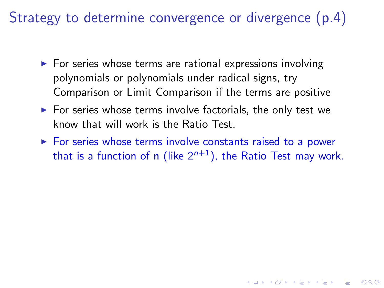- $\triangleright$  For series whose terms are rational expressions involving polynomials or polynomials under radical signs, try Comparison or Limit Comparison if the terms are positive
- $\triangleright$  For series whose terms involve factorials, the only test we know that will work is the Ratio Test.
- $\triangleright$  For series whose terms involve constants raised to a power that is a function of n (like  $2^{n+1}$ ), the Ratio Test may work.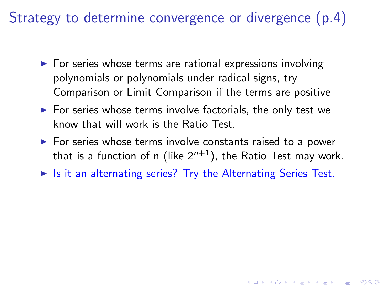- $\triangleright$  For series whose terms are rational expressions involving polynomials or polynomials under radical signs, try Comparison or Limit Comparison if the terms are positive
- $\triangleright$  For series whose terms involve factorials, the only test we know that will work is the Ratio Test.
- $\triangleright$  For series whose terms involve constants raised to a power that is a function of n (like  $2^{n+1}$ ), the Ratio Test may work.
- $\triangleright$  Is it an alternating series? Try the Alternating Series Test.

**KORKAR KERKER EL VOLO**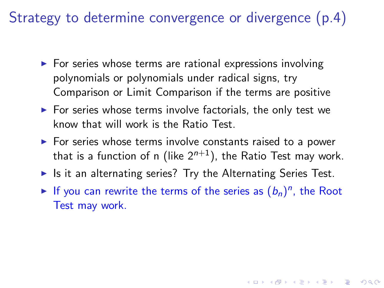- $\triangleright$  For series whose terms are rational expressions involving polynomials or polynomials under radical signs, try Comparison or Limit Comparison if the terms are positive
- $\triangleright$  For series whose terms involve factorials, the only test we know that will work is the Ratio Test.
- $\triangleright$  For series whose terms involve constants raised to a power that is a function of n (like  $2^{n+1}$ ), the Ratio Test may work.
- If It an alternating series? Try the Alternating Series Test.
- If you can rewrite the terms of the series as  $(b_n)^n$ , the Root Test may work.

**KORKAR KERKER EL VOLO**